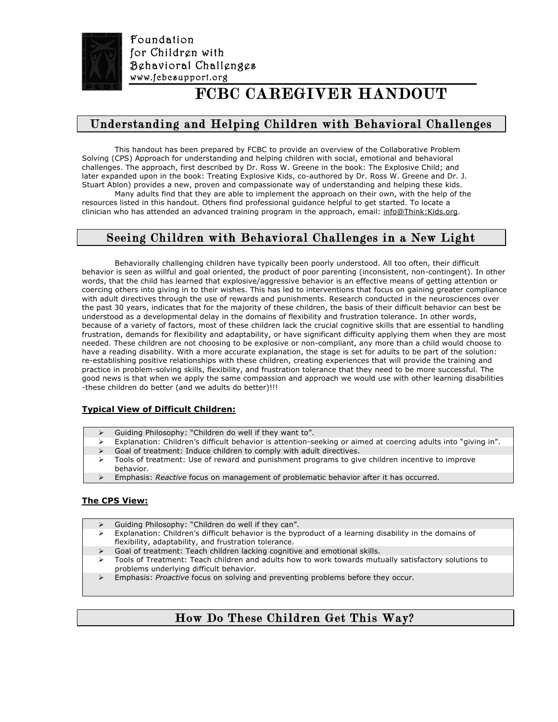

Foundation for Children with Behavioral Challenges www.fcbcsupport.org

# FCBC CAREGIVER HANDOUT

# Understanding and Helping Children with Behavioral Challenges

This handout has been prepared by FCBC to provide an overview of the Collaborative Problem Solving (CPS) Approach for understanding and helping children with social, emotional and behavioral challenges. The approach, first described by Dr. Ross W. Greene in the book: The Explosive Child; and later expanded upon in the book: Treating Explosive Kids, co-authored by Dr. Ross W. Greene and Dr. J. Stuart Ablon) provides a new, proven and compassionate way of understanding and helping these kids. Many adults find that they are able to implement the approach on their own, with the help of the

resources listed in this handout. Others find professional guidance helpful to get started. To locate a clinician who has attended an advanced training program in the approach, email: info@Think:Kids.org.

# Seeing Children with Behavioral Challenges in a New Light

Behaviorally challenging children have typically been poorly understood. All too often, their difficult behavior is seen as willful and goal oriented, the product of poor parenting (inconsistent, non-contingent). In other words, that the child has learned that explosive/aggressive behavior is an effective means of getting attention or coercing others into giving in to their wishes. This has led to interventions that focus on gaining greater compliance with adult directives through the use of rewards and punishments. Research conducted in the neurosciences over the past 30 years, indicates that for the majority of these children, the basis of their difficult behavior can best be understood as a developmental delay in the domains of flexibility and frustration tolerance. In other words, because of a variety of factors, most of these children lack the crucial cognitive skills that are essential to handling frustration, demands for flexibility and adaptability, or have significant difficulty applying them when they are most needed. These children are not choosing to be explosive or non-compliant, any more than a child would choose to have a reading disability. With a more accurate explanation, the stage is set for adults to be part of the solution: re-establishing positive relationships with these children, creating experiences that will provide the training and practice in problem-solving skills, flexibility, and frustration tolerance that they need to be more successful. The good news is that when we apply the same compassion and approach we would use with other learning disabilities -these children do better (and we adults do better)!!!

## **Typical View of Difficult Children:**

- Guiding Philosophy: "Children do well if they want to".
- Explanation: Children's difficult behavior is attention-seeking or aimed at coercing adults into "giving in".
- $\triangleright$  Goal of treatment: Induce children to comply with adult directives.
- Tools of treatment: Use of reward and punishment programs to give children incentive to improve behavior.
- Emphasis: *Reactive* focus on management of problematic behavior after it has occurred.

#### **The CPS View:**

- Guiding Philosophy: "Children do well if they can".
- $\triangleright$  Explanation: Children's difficult behavior is the byproduct of a learning disability in the domains of flexibility, adaptability, and frustration tolerance.
- Goal of treatment: Teach children lacking cognitive and emotional skills.
- $\triangleright$  Tools of Treatment: Teach children and adults how to work towards mutually satisfactory solutions to problems underlying difficult behavior.
- Emphasis: *Proactive* focus on solving and preventing problems before they occur.

# How Do These Children Get This Way?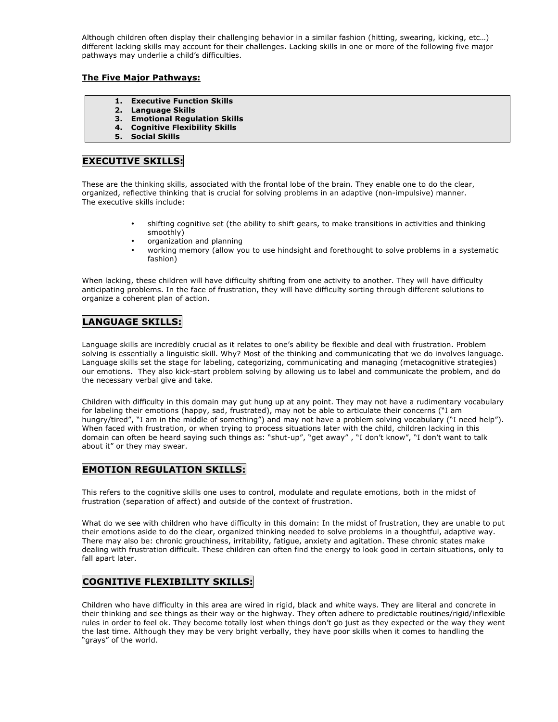Although children often display their challenging behavior in a similar fashion (hitting, swearing, kicking, etc…) different lacking skills may account for their challenges. Lacking skills in one or more of the following five major pathways may underlie a child's difficulties.

#### **The Five Major Pathways:**

- **1. Executive Function Skills**
- **2. Language Skills**
- **3. Emotional Regulation Skills**
- **4. Cognitive Flexibility Skills**
- **5. Social Skills**

# **EXECUTIVE SKILLS:**

These are the thinking skills, associated with the frontal lobe of the brain. They enable one to do the clear, organized, reflective thinking that is crucial for solving problems in an adaptive (non-impulsive) manner. The executive skills include:

- shifting cognitive set (the ability to shift gears, to make transitions in activities and thinking smoothly)
- organization and planning
- working memory (allow you to use hindsight and forethought to solve problems in a systematic fashion)

When lacking, these children will have difficulty shifting from one activity to another. They will have difficulty anticipating problems. In the face of frustration, they will have difficulty sorting through different solutions to organize a coherent plan of action.

# **LANGUAGE SKILLS:**

Language skills are incredibly crucial as it relates to one's ability be flexible and deal with frustration. Problem solving is essentially a linguistic skill. Why? Most of the thinking and communicating that we do involves language. Language skills set the stage for labeling, categorizing, communicating and managing (metacognitive strategies) our emotions. They also kick-start problem solving by allowing us to label and communicate the problem, and do the necessary verbal give and take.

Children with difficulty in this domain may gut hung up at any point. They may not have a rudimentary vocabulary for labeling their emotions (happy, sad, frustrated), may not be able to articulate their concerns ("I am hungry/tired", "I am in the middle of something") and may not have a problem solving vocabulary ("I need help"). When faced with frustration, or when trying to process situations later with the child, children lacking in this domain can often be heard saying such things as: "shut-up", "get away" , "I don't know", "I don't want to talk about it" or they may swear.

## **EMOTION REGULATION SKILLS:**

This refers to the cognitive skills one uses to control, modulate and regulate emotions, both in the midst of frustration (separation of affect) and outside of the context of frustration.

What do we see with children who have difficulty in this domain: In the midst of frustration, they are unable to put their emotions aside to do the clear, organized thinking needed to solve problems in a thoughtful, adaptive way. There may also be: chronic grouchiness, irritability, fatigue, anxiety and agitation. These chronic states make dealing with frustration difficult. These children can often find the energy to look good in certain situations, only to fall apart later.

## **COGNITIVE FLEXIBILITY SKILLS:**

Children who have difficulty in this area are wired in rigid, black and white ways. They are literal and concrete in their thinking and see things as their way or the highway. They often adhere to predictable routines/rigid/inflexible rules in order to feel ok. They become totally lost when things don't go just as they expected or the way they went the last time. Although they may be very bright verbally, they have poor skills when it comes to handling the "grays" of the world.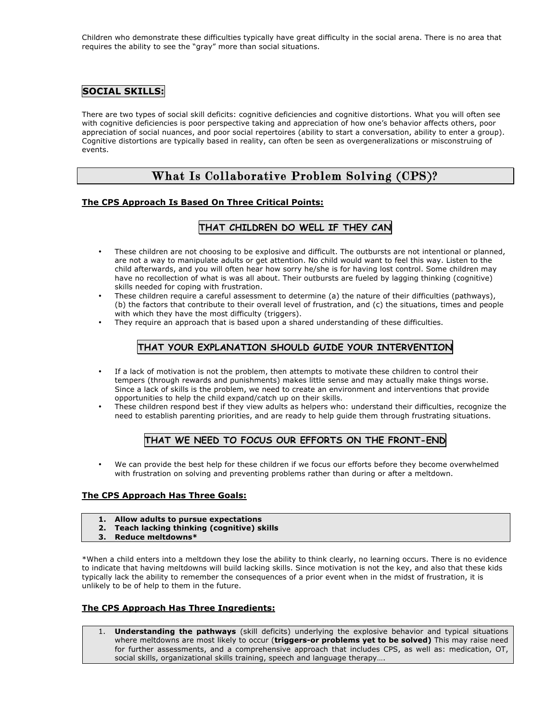Children who demonstrate these difficulties typically have great difficulty in the social arena. There is no area that requires the ability to see the "gray" more than social situations.

### **SOCIAL SKILLS:**

There are two types of social skill deficits: cognitive deficiencies and cognitive distortions. What you will often see with cognitive deficiencies is poor perspective taking and appreciation of how one's behavior affects others, poor appreciation of social nuances, and poor social repertoires (ability to start a conversation, ability to enter a group). Cognitive distortions are typically based in reality, can often be seen as overgeneralizations or misconstruing of events.

# What Is Collaborative Problem Solving (CPS)?

#### **The CPS Approach Is Based On Three Critical Points:**

## **THAT CHILDREN DO WELL IF THEY CAN**

- These children are not choosing to be explosive and difficult. The outbursts are not intentional or planned, are not a way to manipulate adults or get attention. No child would want to feel this way. Listen to the child afterwards, and you will often hear how sorry he/she is for having lost control. Some children may have no recollection of what is was all about. Their outbursts are fueled by lagging thinking (cognitive) skills needed for coping with frustration.
- These children require a careful assessment to determine (a) the nature of their difficulties (pathways), (b) the factors that contribute to their overall level of frustration, and (c) the situations, times and people with which they have the most difficulty (triggers).
- They require an approach that is based upon a shared understanding of these difficulties.

### **THAT YOUR EXPLANATION SHOULD GUIDE YOUR INTERVENTION**

- If a lack of motivation is not the problem, then attempts to motivate these children to control their tempers (through rewards and punishments) makes little sense and may actually make things worse. Since a lack of skills is the problem, we need to create an environment and interventions that provide opportunities to help the child expand/catch up on their skills.
- These children respond best if they view adults as helpers who: understand their difficulties, recognize the need to establish parenting priorities, and are ready to help guide them through frustrating situations.

# **THAT WE NEED TO FOCUS OUR EFFORTS ON THE FRONT-END**

• We can provide the best help for these children if we focus our efforts before they become overwhelmed with frustration on solving and preventing problems rather than during or after a meltdown.

#### **The CPS Approach Has Three Goals:**

- **1. Allow adults to pursue expectations**
- **2. Teach lacking thinking (cognitive) skills**
- **3. Reduce meltdowns\***

\*When a child enters into a meltdown they lose the ability to think clearly, no learning occurs. There is no evidence to indicate that having meltdowns will build lacking skills. Since motivation is not the key, and also that these kids typically lack the ability to remember the consequences of a prior event when in the midst of frustration, it is unlikely to be of help to them in the future.

#### **The CPS Approach Has Three Ingredients:**

1. **Understanding the pathways** (skill deficits) underlying the explosive behavior and typical situations where meltdowns are most likely to occur (**triggers-or problems yet to be solved)** This may raise need for further assessments, and a comprehensive approach that includes CPS, as well as: medication, OT, social skills, organizational skills training, speech and language therapy….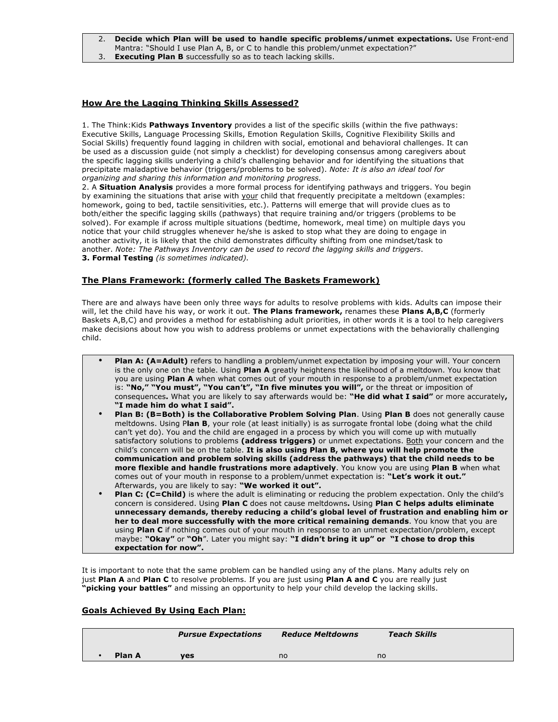#### 2. **Decide which Plan will be used to handle specific problems/unmet expectations.** Use Front-end Mantra: "Should I use Plan A, B, or C to handle this problem/unmet expectation?"

3. **Executing Plan B** successfully so as to teach lacking skills.

#### **How Are the Lagging Thinking Skills Assessed?**

1. The Think:Kids **Pathways Inventory** provides a list of the specific skills (within the five pathways: Executive Skills, Language Processing Skills, Emotion Regulation Skills, Cognitive Flexibility Skills and Social Skills) frequently found lagging in children with social, emotional and behavioral challenges. It can be used as a discussion guide (not simply a checklist) for developing consensus among caregivers about the specific lagging skills underlying a child's challenging behavior and for identifying the situations that precipitate maladaptive behavior (triggers/problems to be solved). *Note: It is also an ideal tool for organizing and sharing this information and monitoring progress.*

2. A **Situation Analysis** provides a more formal process for identifying pathways and triggers. You begin by examining the situations that arise with your child that frequently precipitate a meltdown (examples: homework, going to bed, tactile sensitivities, etc.). Patterns will emerge that will provide clues as to both/either the specific lagging skills (pathways) that require training and/or triggers (problems to be solved). For example if across multiple situations (bedtime, homework, meal time) on multiple days you notice that your child struggles whenever he/she is asked to stop what they are doing to engage in another activity, it is likely that the child demonstrates difficulty shifting from one mindset/task to another. *Note: The Pathways Inventory can be used to record the lagging skills and triggers*. **3. Formal Testing** *(is sometimes indicated).*

#### **The Plans Framework: (formerly called The Baskets Framework)**

There are and always have been only three ways for adults to resolve problems with kids. Adults can impose their will, let the child have his way, or work it out. **The Plans framework,** renames these **Plans A,B,C** (formerly Baskets A,B,C) and provides a method for establishing adult priorities, in other words it is a tool to help caregivers make decisions about how you wish to address problems or unmet expectations with the behaviorally challenging child.

- **Plan A: (A=Adult)** refers to handling a problem/unmet expectation by imposing your will. Your concern is the only one on the table. Using **Plan A** greatly heightens the likelihood of a meltdown. You know that you are using **Plan A** when what comes out of your mouth in response to a problem/unmet expectation is: **"No," "You must", "You can't", "In five minutes you will",** or the threat or imposition of consequences**.** What you are likely to say afterwards would be: **"He did what I said"** or more accurately**, "I made him do what I said".**
- **Plan B: (B=Both) is the Collaborative Problem Solving Plan**. Using **Plan B** does not generally cause meltdowns. Using P**lan B**, your role (at least initially) is as surrogate frontal lobe (doing what the child can't yet do). You and the child are engaged in a process by which you will come up with mutually satisfactory solutions to problems **(address triggers)** or unmet expectations. Both your concern and the child's concern will be on the table. **It is also using Plan B, where you will help promote the communication and problem solving skills (address the pathways) that the child needs to be more flexible and handle frustrations more adaptively**. You know you are using **Plan B** when what comes out of your mouth in response to a problem/unmet expectation is: **"Let's work it out."** Afterwards, you are likely to say: **"We worked it out".**
- **Plan C: (C=Child)** is where the adult is eliminating or reducing the problem expectation. Only the child's concern is considered. Using **Plan C** does not cause meltdowns**.** Using **Plan C helps adults eliminate unnecessary demands, thereby reducing a child's global level of frustration and enabling him or her to deal more successfully with the more critical remaining demands**. You know that you are using **Plan C** if nothing comes out of your mouth in response to an unmet expectation/problem, except maybe: **"Okay"** or **"Oh**". Later you might say: **"I didn't bring it up" or "I chose to drop this expectation for now".**

It is important to note that the same problem can be handled using any of the plans. Many adults rely on just **Plan A** and **Plan C** to resolve problems. If you are just using **Plan A and C** you are really just **"picking your battles"** and missing an opportunity to help your child develop the lacking skills.

#### **Goals Achieved By Using Each Plan:**

| <b>Pursue Expectations</b> |            | <b>Reduce Meltdowns</b> | <b>Teach Skills</b> |  |
|----------------------------|------------|-------------------------|---------------------|--|
| Plan A                     | <b>ves</b> | no                      | no                  |  |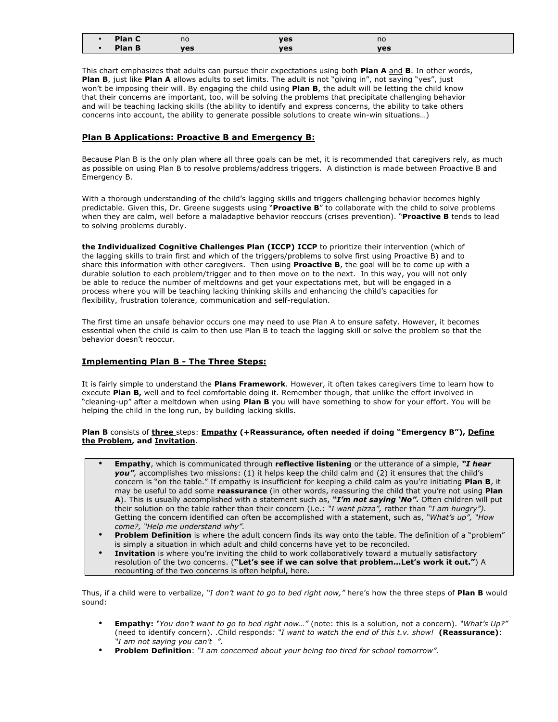| $ -$<br>$\cdots$                           | no  | $\mathbf{v}$<br>cэ  | no  |
|--------------------------------------------|-----|---------------------|-----|
| <b>Contract Contract Contract Contract</b> | ves | $\mathbf{v}$<br>'us | ves |

This chart emphasizes that adults can pursue their expectations using both **Plan A** and **B**. In other words, **Plan B**, just like **Plan A** allows adults to set limits. The adult is not "giving in", not saying "yes", just won't be imposing their will. By engaging the child using **Plan B**, the adult will be letting the child know that their concerns are important, too, will be solving the problems that precipitate challenging behavior and will be teaching lacking skills (the ability to identify and express concerns, the ability to take others concerns into account, the ability to generate possible solutions to create win-win situations…)

#### **Plan B Applications: Proactive B and Emergency B:**

Because Plan B is the only plan where all three goals can be met, it is recommended that caregivers rely, as much as possible on using Plan B to resolve problems/address triggers. A distinction is made between Proactive B and Emergency B.

With a thorough understanding of the child's lagging skills and triggers challenging behavior becomes highly predictable. Given this, Dr. Greene suggests using "**Proactive B**" to collaborate with the child to solve problems when they are calm, well before a maladaptive behavior reoccurs (crises prevention). "**Proactive B** tends to lead to solving problems durably.

**the Individualized Cognitive Challenges Plan (ICCP) ICCP** to prioritize their intervention (which of the lagging skills to train first and which of the triggers/problems to solve first using Proactive B) and to share this information with other caregivers. Then using **Proactive B**, the goal will be to come up with a durable solution to each problem/trigger and to then move on to the next. In this way, you will not only be able to reduce the number of meltdowns and get your expectations met, but will be engaged in a process where you will be teaching lacking thinking skills and enhancing the child's capacities for flexibility, frustration tolerance, communication and self-regulation.

The first time an unsafe behavior occurs one may need to use Plan A to ensure safety. However, it becomes essential when the child is calm to then use Plan B to teach the lagging skill or solve the problem so that the behavior doesn't reoccur.

#### **Implementing Plan B - The Three Steps:**

It is fairly simple to understand the **Plans Framework**. However, it often takes caregivers time to learn how to execute **Plan B,** well and to feel comfortable doing it. Remember though, that unlike the effort involved in "cleaning-up" after a meltdown when using **Plan B** you will have something to show for your effort. You will be helping the child in the long run, by building lacking skills.

#### **Plan B** consists of **three** steps: **Empathy (+Reassurance, often needed if doing "Emergency B"), Define the Problem, and Invitation**.

- **Empathy**, which is communicated through **reflective listening** or the utterance of a simple, *"I hear you",* accomplishes two missions: (1) it helps keep the child calm and (2) it ensures that the child's concern is "on the table." If empathy is insufficient for keeping a child calm as you're initiating **Plan B**, it may be useful to add some **reassurance** (in other words, reassuring the child that you're not using **Plan A**). This is usually accomplished with a statement such as, *"I'm not saying 'No".* Often children will put their solution on the table rather than their concern (i.e.: *"I want pizza",* rather than *"I am hungry").* Getting the concern identified can often be accomplished with a statement, such as, *"What's up", "How come?, "Help me understand why".*
- **Problem Definition** is where the adult concern finds its way onto the table. The definition of a "problem" is simply a situation in which adult and child concerns have yet to be reconciled.
- **Invitation** is where you're inviting the child to work collaboratively toward a mutually satisfactory resolution of the two concerns. (**"Let's see if we can solve that problem…Let's work it out."**) A recounting of the two concerns is often helpful, here.

Thus, if a child were to verbalize, *"I don't want to go to bed right now,"* here's how the three steps of **Plan B** would sound:

- **Empathy:** *"You don't want to go to bed right now…"* (note: this is a solution, not a concern). *"What's Up?"* (need to identify concern). .Child responds*: "I want to watch the end of this t.v. show!* **(Reassurance)**: *"I am not saying you can't ".*
- **Problem Definition**: *"I am concerned about your being too tired for school tomorrow".*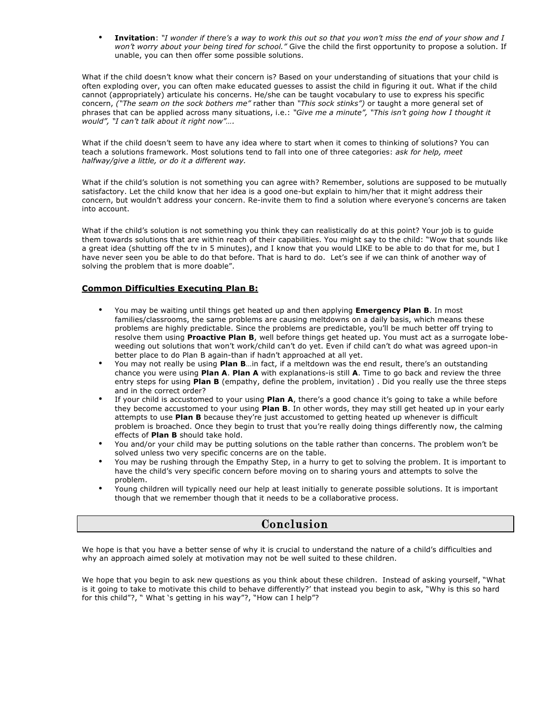• **Invitation**: *"I wonder if there's a way to work this out so that you won't miss the end of your show and I won't worry about your being tired for school."* Give the child the first opportunity to propose a solution. If unable, you can then offer some possible solutions.

What if the child doesn't know what their concern is? Based on your understanding of situations that your child is often exploding over, you can often make educated guesses to assist the child in figuring it out. What if the child cannot (appropriately) articulate his concerns. He/she can be taught vocabulary to use to express his specific concern, *("The seam on the sock bothers me"* rather than *"This sock stinks")* or taught a more general set of phrases that can be applied across many situations, i.e.: *"Give me a minute", "This isn't going how I thought it would", "I can't talk about it right now"….*

What if the child doesn't seem to have any idea where to start when it comes to thinking of solutions? You can teach a solutions framework. Most solutions tend to fall into one of three categories: *ask for help, meet halfway/give a little, or do it a different way.*

What if the child's solution is not something you can agree with? Remember, solutions are supposed to be mutually satisfactory. Let the child know that her idea is a good one-but explain to him/her that it might address their concern, but wouldn't address your concern. Re-invite them to find a solution where everyone's concerns are taken into account.

What if the child's solution is not something you think they can realistically do at this point? Your job is to guide them towards solutions that are within reach of their capabilities. You might say to the child: "Wow that sounds like a great idea (shutting off the tv in 5 minutes), and I know that you would LIKE to be able to do that for me, but I have never seen you be able to do that before. That is hard to do. Let's see if we can think of another way of solving the problem that is more doable".

#### **Common Difficulties Executing Plan B:**

- You may be waiting until things get heated up and then applying **Emergency Plan B**. In most families/classrooms, the same problems are causing meltdowns on a daily basis, which means these problems are highly predictable. Since the problems are predictable, you'll be much better off trying to resolve them using **Proactive Plan B**, well before things get heated up. You must act as a surrogate lobeweeding out solutions that won't work/child can't do yet. Even if child can't do what was agreed upon-in better place to do Plan B again-than if hadn't approached at all yet.
- You may not really be using **Plan B**…in fact, if a meltdown was the end result, there's an outstanding chance you were using **Plan A**. **Plan A** with explanations-is still **A**. Time to go back and review the three entry steps for using **Plan B** (empathy, define the problem, invitation) . Did you really use the three steps and in the correct order?
- If your child is accustomed to your using **Plan A**, there's a good chance it's going to take a while before they become accustomed to your using **Plan B**. In other words, they may still get heated up in your early attempts to use **Plan B** because they're just accustomed to getting heated up whenever is difficult problem is broached. Once they begin to trust that you're really doing things differently now, the calming effects of **Plan B** should take hold.
- You and/or your child may be putting solutions on the table rather than concerns. The problem won't be solved unless two very specific concerns are on the table.
- You may be rushing through the Empathy Step, in a hurry to get to solving the problem. It is important to have the child's very specific concern before moving on to sharing yours and attempts to solve the problem.
- Young children will typically need our help at least initially to generate possible solutions. It is important though that we remember though that it needs to be a collaborative process.

# Conclusion

We hope is that you have a better sense of why it is crucial to understand the nature of a child's difficulties and why an approach aimed solely at motivation may not be well suited to these children.

We hope that you begin to ask new questions as you think about these children. Instead of asking yourself, "What is it going to take to motivate this child to behave differently?' that instead you begin to ask, "Why is this so hard for this child"?, " What 's getting in his way"?, "How can I help"?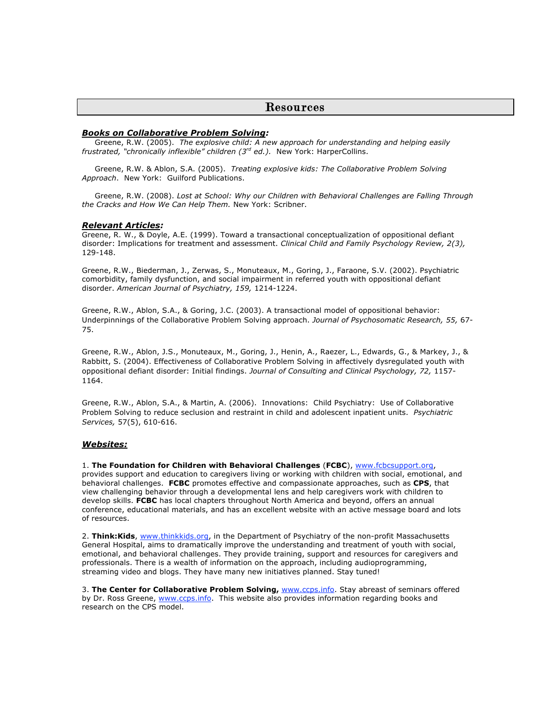#### Resources

#### *Books on Collaborative Problem Solving:*

 Greene, R.W. (2005). *The explosive child: A new approach for understanding and helping easily frustrated, "chronically inflexible" children (3rd ed.).* New York: HarperCollins.

 Greene, R.W. & Ablon, S.A. (2005). *Treating explosive kids: The Collaborative Problem Solving Approach*. New York: Guilford Publications.

 Greene, R.W. (2008). *Lost at School: Why our Children with Behavioral Challenges are Falling Through the Cracks and How We Can Help Them.* New York: Scribner.

#### *Relevant Articles:*

Greene, R. W., & Doyle, A.E. (1999). Toward a transactional conceptualization of oppositional defiant disorder: Implications for treatment and assessment. *Clinical Child and Family Psychology Review, 2(3),* 129-148.

Greene, R.W., Biederman, J., Zerwas, S., Monuteaux, M., Goring, J., Faraone, S.V. (2002). Psychiatric comorbidity, family dysfunction, and social impairment in referred youth with oppositional defiant disorder. *American Journal of Psychiatry, 159,* 1214-1224.

Greene, R.W., Ablon, S.A., & Goring, J.C. (2003). A transactional model of oppositional behavior: Underpinnings of the Collaborative Problem Solving approach. *Journal of Psychosomatic Research, 55,* 67- 75.

Greene, R.W., Ablon, J.S., Monuteaux, M., Goring, J., Henin, A., Raezer, L., Edwards, G., & Markey, J., & Rabbitt, S. (2004). Effectiveness of Collaborative Problem Solving in affectively dysregulated youth with oppositional defiant disorder: Initial findings. *Journal of Consulting and Clinical Psychology, 72,* 1157- 1164.

Greene, R.W., Ablon, S.A., & Martin, A. (2006). Innovations: Child Psychiatry: Use of Collaborative Problem Solving to reduce seclusion and restraint in child and adolescent inpatient units. *Psychiatric Services,* 57(5), 610-616.

#### *Websites:*

1. **The Foundation for Children with Behavioral Challenges** (**FCBC**), www.fcbcsupport.org, provides support and education to caregivers living or working with children with social, emotional, and behavioral challenges. **FCBC** promotes effective and compassionate approaches, such as **CPS**, that view challenging behavior through a developmental lens and help caregivers work with children to develop skills. **FCBC** has local chapters throughout North America and beyond, offers an annual conference, educational materials, and has an excellent website with an active message board and lots of resources.

2. **Think:Kids**, www.thinkkids.org, in the Department of Psychiatry of the non-profit Massachusetts General Hospital, aims to dramatically improve the understanding and treatment of youth with social, emotional, and behavioral challenges. They provide training, support and resources for caregivers and professionals. There is a wealth of information on the approach, including audioprogramming, streaming video and blogs. They have many new initiatives planned. Stay tuned!

3. **The Center for Collaborative Problem Solving,** www.ccps.info. Stay abreast of seminars offered by Dr. Ross Greene, www.ccps.info. This website also provides information regarding books and research on the CPS model.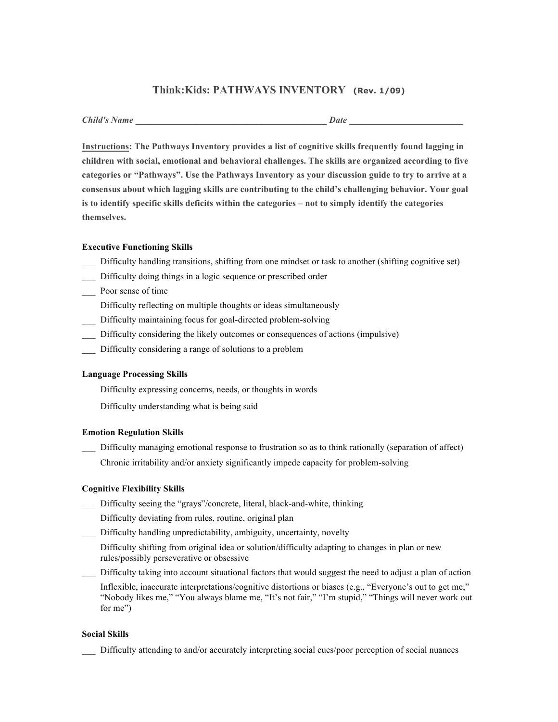# **Think:Kids: PATHWAYS INVENTORY (Rev. 1/09)**

| <b>Child's Name</b> | Date |
|---------------------|------|
|                     |      |

**Instructions: The Pathways Inventory provides a list of cognitive skills frequently found lagging in children with social, emotional and behavioral challenges. The skills are organized according to five categories or "Pathways". Use the Pathways Inventory as your discussion guide to try to arrive at a consensus about which lagging skills are contributing to the child's challenging behavior. Your goal is to identify specific skills deficits within the categories – not to simply identify the categories themselves.**

#### **Executive Functioning Skills**

- \_\_\_ Difficulty handling transitions, shifting from one mindset or task to another (shifting cognitive set)
- \_\_\_ Difficulty doing things in a logic sequence or prescribed order
- \_\_\_ Poor sense of time
	- Difficulty reflecting on multiple thoughts or ideas simultaneously
- \_\_\_ Difficulty maintaining focus for goal-directed problem-solving
- \_\_\_ Difficulty considering the likely outcomes or consequences of actions (impulsive)
- \_\_\_ Difficulty considering a range of solutions to a problem

#### **Language Processing Skills**

Difficulty expressing concerns, needs, or thoughts in words

Difficulty understanding what is being said

#### **Emotion Regulation Skills**

- Difficulty managing emotional response to frustration so as to think rationally (separation of affect)
- Chronic irritability and/or anxiety significantly impede capacity for problem-solving

#### **Cognitive Flexibility Skills**

- \_\_\_ Difficulty seeing the "grays"/concrete, literal, black-and-white, thinking
	- Difficulty deviating from rules, routine, original plan
- Difficulty handling unpredictability, ambiguity, uncertainty, novelty

Difficulty shifting from original idea or solution/difficulty adapting to changes in plan or new rules/possibly perseverative or obsessive

\_\_\_ Difficulty taking into account situational factors that would suggest the need to adjust a plan of action

Inflexible, inaccurate interpretations/cognitive distortions or biases (e.g., "Everyone's out to get me," "Nobody likes me," "You always blame me, "It's not fair," "I'm stupid," "Things will never work out for me")

#### **Social Skills**

\_\_\_ Difficulty attending to and/or accurately interpreting social cues/poor perception of social nuances